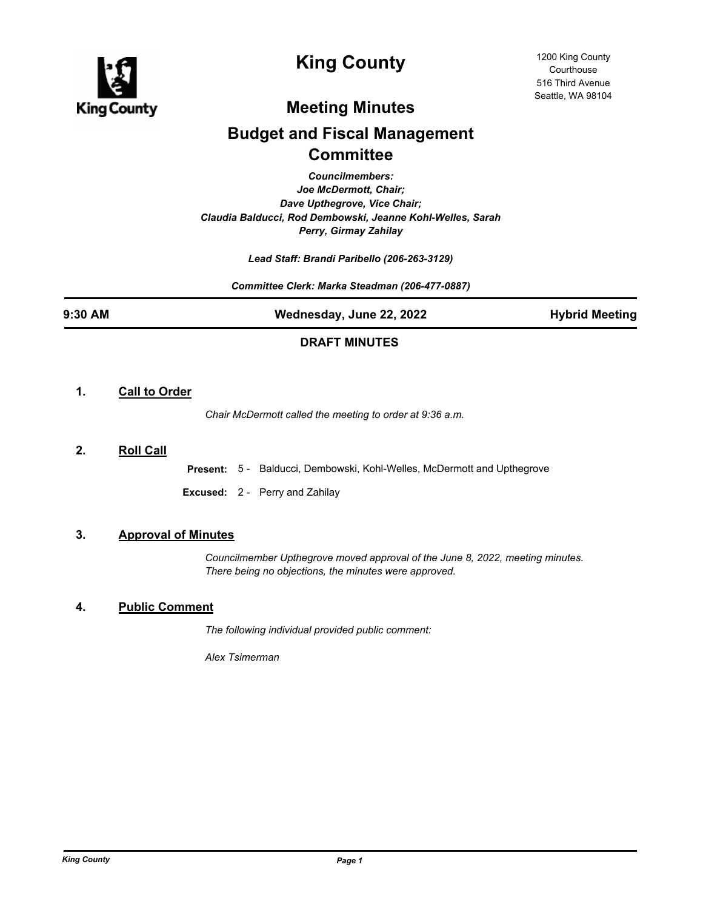

# **King County**

## **Meeting Minutes**

# **Budget and Fiscal Management Committee**

*Councilmembers: Joe McDermott, Chair; Dave Upthegrove, Vice Chair; Claudia Balducci, Rod Dembowski, Jeanne Kohl-Welles, Sarah Perry, Girmay Zahilay*

*Lead Staff: Brandi Paribello (206-263-3129)*

*Committee Clerk: Marka Steadman (206-477-0887)*

**9:30 AM Wednesday, June 22, 2022 Hybrid Meeting**

### **DRAFT MINUTES**

### **1. Call to Order**

*Chair McDermott called the meeting to order at 9:36 a.m.*

### **2. Roll Call**

**Present:** 5 - Balducci, Dembowski, Kohl-Welles, McDermott and Upthegrove

**Excused:** 2 - Perry and Zahilay

### **3. Approval of Minutes**

*Councilmember Upthegrove moved approval of the June 8, 2022, meeting minutes. There being no objections, the minutes were approved.*

### **4. Public Comment**

*The following individual provided public comment:*

*Alex Tsimerman*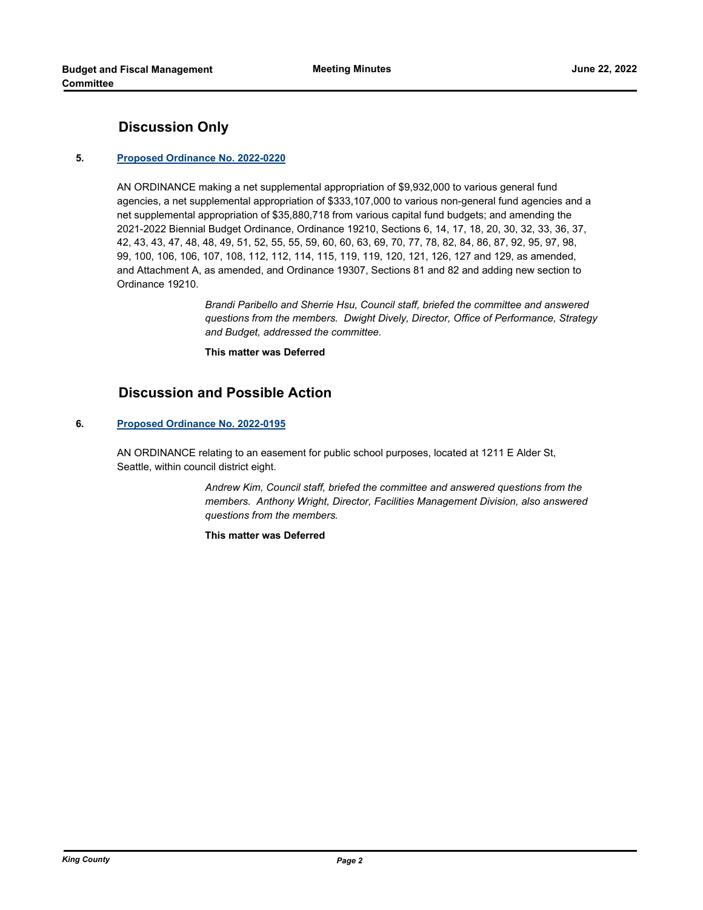### **Discussion Only**

### **5. [Proposed Ordinance No. 2022-0220](http://kingcounty.legistar.com/gateway.aspx?m=l&id=/matter.aspx?key=23168)**

AN ORDINANCE making a net supplemental appropriation of \$9,932,000 to various general fund agencies, a net supplemental appropriation of \$333,107,000 to various non-general fund agencies and a net supplemental appropriation of \$35,880,718 from various capital fund budgets; and amending the 2021-2022 Biennial Budget Ordinance, Ordinance 19210, Sections 6, 14, 17, 18, 20, 30, 32, 33, 36, 37, 42, 43, 43, 47, 48, 48, 49, 51, 52, 55, 55, 59, 60, 60, 63, 69, 70, 77, 78, 82, 84, 86, 87, 92, 95, 97, 98, 99, 100, 106, 106, 107, 108, 112, 112, 114, 115, 119, 119, 120, 121, 126, 127 and 129, as amended, and Attachment A, as amended, and Ordinance 19307, Sections 81 and 82 and adding new section to Ordinance 19210.

> *Brandi Paribello and Sherrie Hsu, Council staff, briefed the committee and answered questions from the members. Dwight Dively, Director, Office of Performance, Strategy and Budget, addressed the committee.*

**This matter was Deferred**

### **Discussion and Possible Action**

#### **6. [Proposed Ordinance No. 2022-0195](http://kingcounty.legistar.com/gateway.aspx?m=l&id=/matter.aspx?key=23115)**

AN ORDINANCE relating to an easement for public school purposes, located at 1211 E Alder St, Seattle, within council district eight.

> *Andrew Kim, Council staff, briefed the committee and answered questions from the members. Anthony Wright, Director, Facilities Management Division, also answered questions from the members.*

**This matter was Deferred**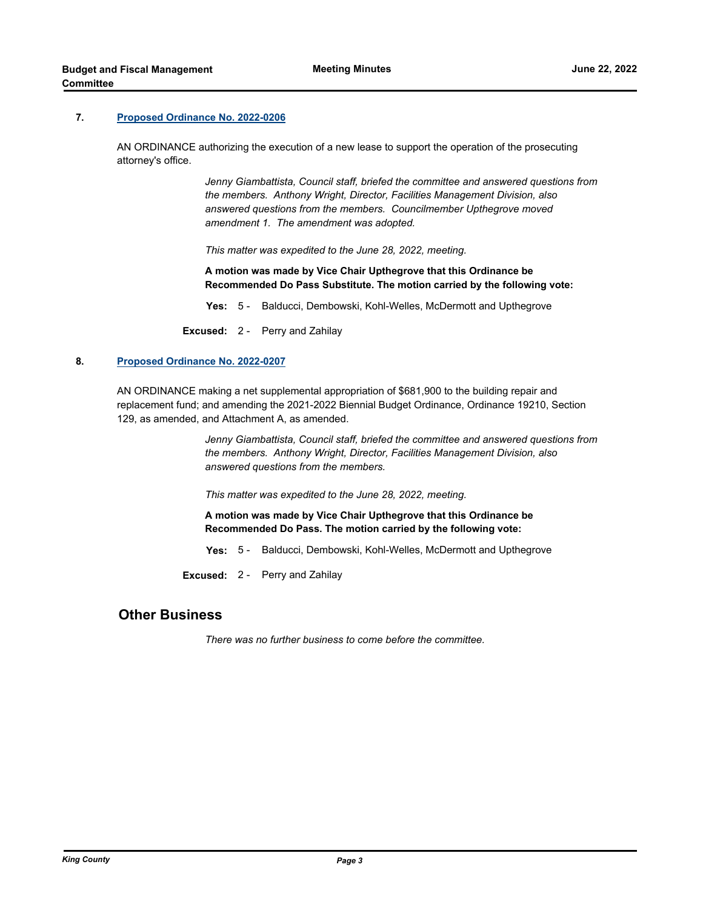#### **7. [Proposed Ordinance No. 2022-0206](http://kingcounty.legistar.com/gateway.aspx?m=l&id=/matter.aspx?key=23145)**

AN ORDINANCE authorizing the execution of a new lease to support the operation of the prosecuting attorney's office.

> *Jenny Giambattista, Council staff, briefed the committee and answered questions from the members. Anthony Wright, Director, Facilities Management Division, also answered questions from the members. Councilmember Upthegrove moved amendment 1. The amendment was adopted.*

*This matter was expedited to the June 28, 2022, meeting.*

**A motion was made by Vice Chair Upthegrove that this Ordinance be Recommended Do Pass Substitute. The motion carried by the following vote:**

**Yes:** 5 - Balducci, Dembowski, Kohl-Welles, McDermott and Upthegrove

**Excused:** 2 - Perry and Zahilay

#### **8. [Proposed Ordinance No. 2022-0207](http://kingcounty.legistar.com/gateway.aspx?m=l&id=/matter.aspx?key=23146)**

AN ORDINANCE making a net supplemental appropriation of \$681,900 to the building repair and replacement fund; and amending the 2021-2022 Biennial Budget Ordinance, Ordinance 19210, Section 129, as amended, and Attachment A, as amended.

> *Jenny Giambattista, Council staff, briefed the committee and answered questions from the members. Anthony Wright, Director, Facilities Management Division, also answered questions from the members.*

*This matter was expedited to the June 28, 2022, meeting.*

**A motion was made by Vice Chair Upthegrove that this Ordinance be Recommended Do Pass. The motion carried by the following vote:**

**Yes:** 5 - Balducci, Dembowski, Kohl-Welles, McDermott and Upthegrove

**Excused:** 2 - Perry and Zahilay

### **Other Business**

*There was no further business to come before the committee.*